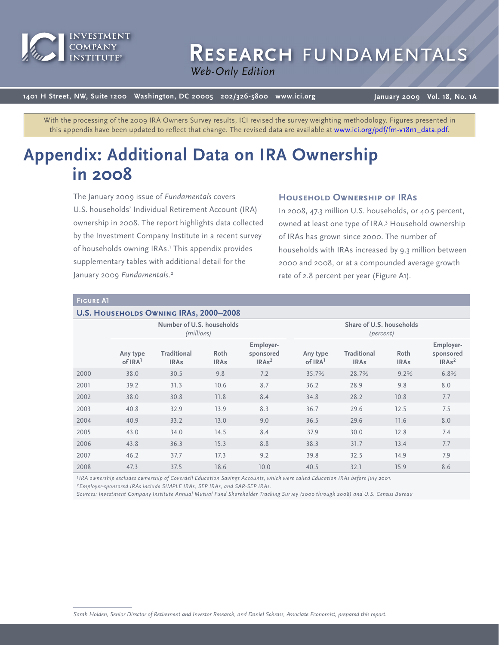

# RESEARCH FUNDAMENTAL

*Web Only Web-Only Edition*

**1401 H Street, NW, Suite 1200 Washington, DC 20005 202/326-5800 www.ici.org**

**January 2009 Vol. 18, No. 1A**

With the processing of the 2009 IRA Owners Survey results, ICI revised the survey weighting methodology. Figures presented in this appendix have been updated to reflect that change. The revised data are available a[t www.ici.org/pdf/fm-v18n1\\_data.pdf.](http://www.ici.org/pdf/fm-v18n1_data.pdf)

# **Appendix: Additional Data on IRA Ownership in 2008**

The January 2009 issue of *Fundamentals* covers U.S. households' Individual Retirement Account (IRA) ownership in 2008. The report highlights data collected by the Investment Company Institute in a recent survey of households owning IRAs.<sup>1</sup> This appendix provides supplementary tables with additional detail for the January 2009 *Fundamentals*. 2

# **Household Ownership of IRAs**

In 2008, 47.3 million U.S. households, or 40.5 percent, owned at least one type of IRA.3 Household ownership of IRAs has grown since 2000. The number of households with IRAs increased by 9.3 million between 2000 and 2008, or at a compounded average growth rate of 2.8 percent per year (Figure A1).

#### **Figure A1**

#### **U.S. HOUSEHOLDS OWNING IRAS, 2000–2008**

|      | Number of U.S. households<br>(millions) |                                   |                     |                                             |                                 | Share of U.S. households<br>(percent) |                     |                                             |
|------|-----------------------------------------|-----------------------------------|---------------------|---------------------------------------------|---------------------------------|---------------------------------------|---------------------|---------------------------------------------|
|      | Any type<br>of IRA <sup>1</sup>         | <b>Traditional</b><br><b>IRAs</b> | Roth<br><b>IRAs</b> | Employer-<br>sponsored<br>IRAs <sup>2</sup> | Any type<br>of IRA <sup>1</sup> | <b>Traditional</b><br><b>IRAs</b>     | Roth<br><b>IRAs</b> | Employer-<br>sponsored<br>IRAs <sup>2</sup> |
| 2000 | 38.0                                    | 30.5                              | 9.8                 | 7.2                                         | 35.7%                           | 28.7%                                 | 9.2%                | 6.8%                                        |
| 2001 | 39.2                                    | 31.3                              | 10.6                | 8.7                                         | 36.2                            | 28.9                                  | 9.8                 | 8.0                                         |
| 2002 | 38.0                                    | 30.8                              | 11.8                | 8.4                                         | 34.8                            | 28.2                                  | 10.8                | 7.7                                         |
| 2003 | 40.8                                    | 32.9                              | 13.9                | 8.3                                         | 36.7                            | 29.6                                  | 12.5                | 7.5                                         |
| 2004 | 40.9                                    | 33.2                              | 13.0                | 9.0                                         | 36.5                            | 29.6                                  | 11.6                | 8.0                                         |
| 2005 | 43.0                                    | 34.0                              | 14.5                | 8.4                                         | 37.9                            | 30.0                                  | 12.8                | 7.4                                         |
| 2006 | 43.8                                    | 36.3                              | 15.3                | 8.8                                         | 38.3                            | 31.7                                  | 13.4                | 7.7                                         |
| 2007 | 46.2                                    | 37.7                              | 17.3                | 9.2                                         | 39.8                            | 32.5                                  | 14.9                | 7.9                                         |
| 2008 | 47.3                                    | 37.5                              | 18.6                | 10.0                                        | 40.5                            | 32.1                                  | 15.9                | 8.6                                         |

*1IRA ownership excludes ownership of Coverdell Education Savings Accounts, which were called Education IRAs before July 2001.*

*2Employer-sponsored IRAs include SIMPLE IRAs, SEP IRAs, and SAR-SEP IRAs.*

*Sources: Investment Company Institute Annual Mutual Fund Shareholder Tracking Survey (2000 through 2008) and U.S. Census Bureau*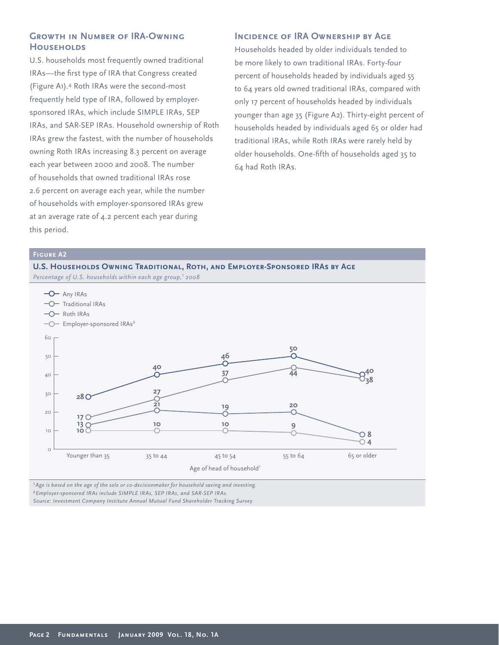# **Growth in Number of IRA-Owning Households**

U.S. households most frequently owned traditional IRAs—the first type of IRA that Congress created (Figure A1).4 Roth IRAs were the second-most frequently held type of IRA, followed by employersponsored IRAs, which include SIMPLE IRAs, SEP IRAs, and SAR-SEP IRAs. Household ownership of Roth IRAs grew the fastest, with the number of households owning Roth IRAs increasing 8.3 percent on average each year between 2000 and 2008. The number of households that owned traditional IRAs rose 2.6 percent on average each year, while the number of households with employer-sponsored IRAs grew at an average rate of 4.2 percent each year during this period.

# **INCIDENCE OF IRA OWNERSHIP BY AGE**

Households headed by older individuals tended to be more likely to own traditional IRAs. Forty-four percent of households headed by individuals aged 55 to 64 years old owned traditional IRAs, compared with only 17 percent of households headed by individuals younger than age 35 (Figure A2). Thirty-eight percent of households headed by individuals aged 65 or older had traditional IRAs, while Roth IRAs were rarely held by older households. One-fifth of households aged 35 to 64 had Roth IRAs.

# **Figure A2**



*1Age is based on the age of the sole or co-decisionmaker for household saving and investing. 2Employer-sponsored IRAs include SIMPLE IRAs, SEP IRAs, and SAR-SEP IRAs. Source: Investment Company Institute Annual Mutual Fund Shareholder Tracking Survey*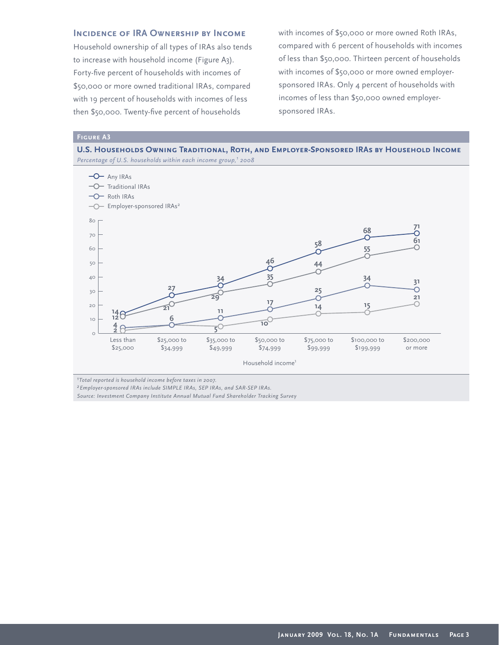# **Incidence of IRA Ownership by Income**

Household ownership of all types of IRAs also tends to increase with household income (Figure A3). Forty-five percent of households with incomes of \$50,000 or more owned traditional IRAs, compared with 19 percent of households with incomes of less then \$50,000. Twenty-five percent of households

with incomes of \$50,000 or more owned Roth IRAs, compared with 6 percent of households with incomes of less than \$50,000. Thirteen percent of households with incomes of \$50,000 or more owned employersponsored IRAs. Only 4 percent of households with incomes of less than \$50,000 owned employersponsored IRAs.

#### **Figure A3**

**U.S. Households Owning Traditional, Roth, and Employer-Sponsored IRAs by Household Income** *Percentage of U.S. households within each income group,<sup>1</sup> 2008* 



*1Total reported is household income before taxes in 2007.*

*2Employer-sponsored IRAs include SIMPLE IRAs, SEP IRAs, and SAR-SEP IRAs.*

*Source: Investment Company Institute Annual Mutual Fund Shareholder Tracking Survey*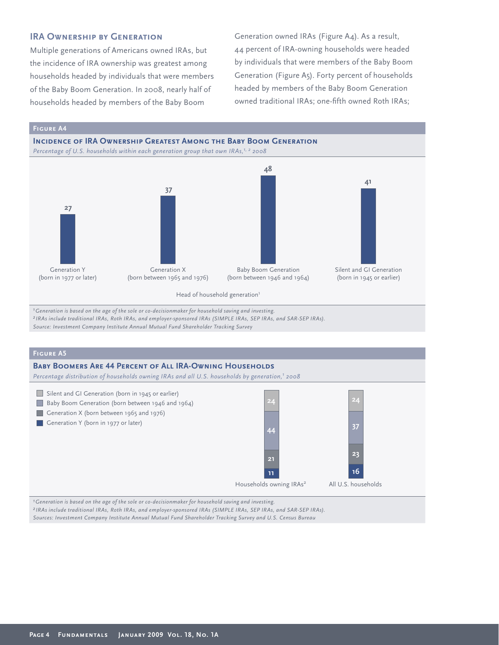# **IRA OWNERSHIP BY GENERATION**

Multiple generations of Americans owned IRAs, but the incidence of IRA ownership was greatest among households headed by individuals that were members of the Baby Boom Generation. In 2008, nearly half of households headed by members of the Baby Boom

Generation owned IRAs (Figure A4). As a result, 44 percent of IRA-owning households were headed by individuals that were members of the Baby Boom Generation (Figure A5). Forty percent of households headed by members of the Baby Boom Generation owned traditional IRAs; one-fifth owned Roth IRAs;

**Figure A4**



*1Generation is based on the age of the sole or co-decisionmaker for household saving and investing.*

*2 IRAs include traditional IRAs, Roth IRAs, and employer-sponsored IRAs (SIMPLE IRAs, SEP IRAs, and SAR-SEP IRAs).*

*Source: Investment Company Institute Annual Mutual Fund Shareholder Tracking Survey* 

### **Figure A5**

# **Baby Boomers Are 44 Percent of All IRA-Owning Households** Percentage distribution of households owning IRAs and all U.S. households by generation,<sup>1</sup> 2008 Silent and GI Generation (born in 1945 or earlier) **24**



*1Generation is based on the age of the sole or co-decisionmaker for household saving and investing. 2 IRAs include traditional IRAs, Roth IRAs, and employer-sponsored IRAs (SIMPLE IRAs, SEP IRAs, and SAR-SEP IRAs). Sources: Investment Company Institute Annual Mutual Fund Shareholder Tracking Survey and U.S. Census Bureau*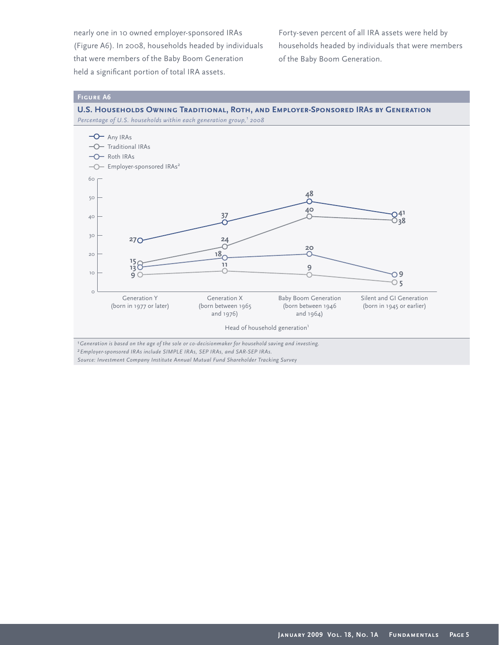nearly one in 10 owned employer-sponsored IRAs (Figure A6). In 2008, households headed by individuals that were members of the Baby Boom Generation held a significant portion of total IRA assets.

Forty-seven percent of all IRA assets were held by households headed by individuals that were members of the Baby Boom Generation.

#### **Figure A6**

**U.S. Households Owning Traditional, Roth, and Employer-Sponsored IRAs by Generation**



*1Generation is based on the age of the sole or co-decisionmaker for household saving and investing. 2Employer-sponsored IRAs include SIMPLE IRAs, SEP IRAs, and SAR-SEP IRAs.*

*Source: Investment Company Institute Annual Mutual Fund Shareholder Tracking Survey*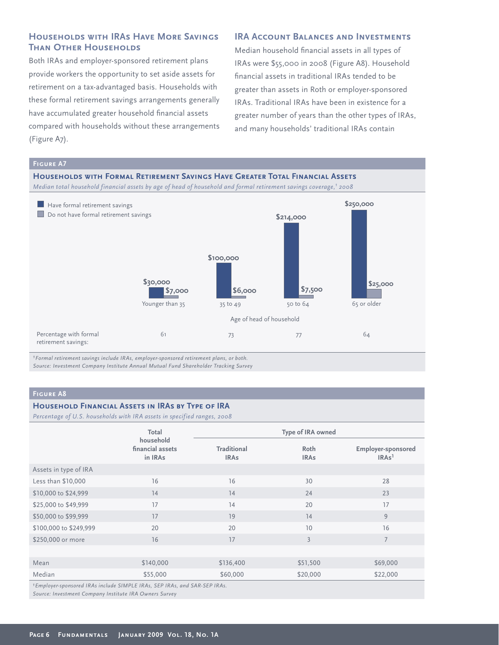# **Households with IRAs Have More Savings Than Other Households**

Both IRAs and employer-sponsored retirement plans provide workers the opportunity to set aside assets for retirement on a tax-advantaged basis. Households with these formal retirement savings arrangements generally have accumulated greater household financial assets compared with households without these arrangements (Figure A7).

# **IRA ACCOUNT BALANCES AND INVESTMENTS**

Median household financial assets in all types of IRAs were \$55,000 in 2008 (Figure A8). Household financial assets in traditional IRAs tended to be greater than assets in Roth or employer-sponsored IRAs. Traditional IRAs have been in existence for a greater number of years than the other types of IRAs, and many households' traditional IRAs contain



*1Formal retirement savings include IRAs, employer-sponsored retirement plans, or both. Source: Investment Company Institute Annual Mutual Fund Shareholder Tracking Survey* 

#### **Figure A8**

#### **Household Financial Assets in IRAs by Type of IRA**

*Percentage of U.S. households with IRA assets in specified ranges, 2008*

|                                                                                       | Total                                    | Type of IRA owned                 |                     |                                                |  |  |
|---------------------------------------------------------------------------------------|------------------------------------------|-----------------------------------|---------------------|------------------------------------------------|--|--|
|                                                                                       | household<br>financial assets<br>in IRAs | <b>Traditional</b><br><b>IRAs</b> | Roth<br><b>IRAs</b> | <b>Employer-sponsored</b><br>IRAs <sup>1</sup> |  |  |
| Assets in type of IRA                                                                 |                                          |                                   |                     |                                                |  |  |
| Less than \$10,000                                                                    | 16                                       | 16                                | 30                  | 28                                             |  |  |
| \$10,000 to \$24,999                                                                  | 14                                       | 14                                | 24                  | 23                                             |  |  |
| \$25,000 to \$49,999                                                                  | 17                                       | 14                                | 20                  | 17                                             |  |  |
| \$50,000 to \$99,999                                                                  | 17                                       | 19                                | 14                  | 9                                              |  |  |
| \$100,000 to \$249,999                                                                | 20                                       | 20                                | 10                  | 16                                             |  |  |
| \$250,000 or more                                                                     | 16                                       | 17                                | $\overline{3}$      | 7                                              |  |  |
|                                                                                       |                                          |                                   |                     |                                                |  |  |
| Mean                                                                                  | \$140,000                                | \$136,400                         | \$51,500            | \$69,000                                       |  |  |
| Median                                                                                | \$55,000                                 | \$60,000                          | \$20,000            | \$22,000                                       |  |  |
| <sup>1</sup> Employer-sponsored IRAs include SIMPLE IRAs, SEP IRAs, and SAR-SEP IRAs. |                                          |                                   |                     |                                                |  |  |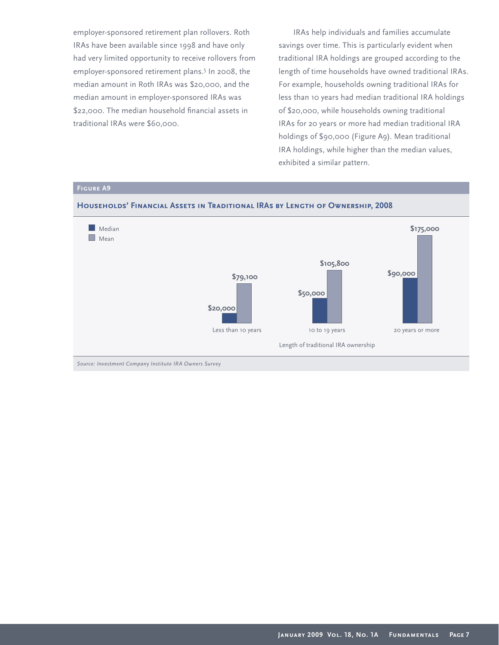employer-sponsored retirement plan rollovers. Roth IRAs have been available since 1998 and have only had very limited opportunity to receive rollovers from employer-sponsored retirement plans.5 In 2008, the median amount in Roth IRAs was \$20,000, and the median amount in employer-sponsored IRAs was \$22,000. The median household financial assets in traditional IRAs were \$60,000.

IRAs help individuals and families accumulate savings over time. This is particularly evident when traditional IRA holdings are grouped according to the length of time households have owned traditional IRAs. For example, households owning traditional IRAs for less than 10 years had median traditional IRA holdings of \$20,000, while households owning traditional IRAs for 20 years or more had median traditional IRA holdings of \$90,000 (Figure A9). Mean traditional IRA holdings, while higher than the median values, exhibited a similar pattern.



# **Figure A9**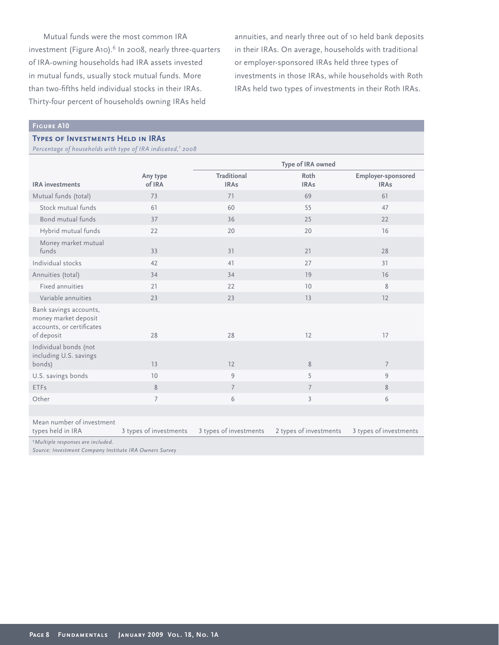Mutual funds were the most common IRA investment (Figure A10).<sup>6</sup> In 2008, nearly three-quarters of IRA-owning households had IRA assets invested in mutual funds, usually stock mutual funds. More than two-fifths held individual stocks in their IRAs. Thirty-four percent of households owning IRAs held

annuities, and nearly three out of 10 held bank deposits in their IRAs. On average, households with traditional or employer-sponsored IRAs held three types of investments in those IRAs, while households with Roth IRAs held two types of investments in their Roth IRAs.

#### **Figure A10**

#### **Types of Investments Held in IRAs**

*Percentage of households with type of IRA indicated,1 2008*

|                                                                                                                               |                        | Type of IRA owned          |                        |                                   |  |
|-------------------------------------------------------------------------------------------------------------------------------|------------------------|----------------------------|------------------------|-----------------------------------|--|
| <b>IRA</b> investments                                                                                                        | Any type<br>of IRA     | Traditional<br><b>IRAs</b> | Roth<br><b>IRAs</b>    | Employer-sponsored<br><b>IRAs</b> |  |
| Mutual funds (total)                                                                                                          | 73                     | 71                         | 69                     | 61                                |  |
| Stock mutual funds                                                                                                            | 61                     | 60                         | 55                     | 47                                |  |
| Bond mutual funds                                                                                                             | 37                     | 36                         | 25                     | 22                                |  |
| Hybrid mutual funds                                                                                                           | 22                     | 20                         | 20                     | 16                                |  |
| Money market mutual<br>funds                                                                                                  | 33                     | 31                         | 21                     | 28                                |  |
| Individual stocks                                                                                                             | 42                     | 41                         | 27                     | 31                                |  |
| Annuities (total)                                                                                                             | 34                     | 34                         | 19                     | 16                                |  |
| Fixed annuities                                                                                                               | 21                     | 22                         | 10                     | 8                                 |  |
| Variable annuities                                                                                                            | 23                     | 23                         | 13                     | 12                                |  |
| Bank savings accounts,<br>money market deposit<br>accounts, or certificates<br>of deposit                                     | 28                     | 28                         | 12                     | 17                                |  |
| Individual bonds (not<br>including U.S. savings<br>bonds)                                                                     | 13                     | 12                         | 8                      | $\overline{7}$                    |  |
| U.S. savings bonds                                                                                                            | 10                     | 9                          | 5                      | 9                                 |  |
| <b>ETFs</b>                                                                                                                   | 8                      | $\overline{7}$             | $\overline{7}$         | 8                                 |  |
| Other                                                                                                                         | $\overline{7}$         | 6                          | $\overline{3}$         | 6                                 |  |
|                                                                                                                               |                        |                            |                        |                                   |  |
| Mean number of investment<br>types held in IRA                                                                                | 3 types of investments | 3 types of investments     | 2 types of investments | 3 types of investments            |  |
| <sup>1</sup> Multiple responses are included.<br>$\epsilon$ $\epsilon$ $\epsilon$ $\epsilon$ $\epsilon$ $\epsilon$ $\epsilon$ |                        |                            |                        |                                   |  |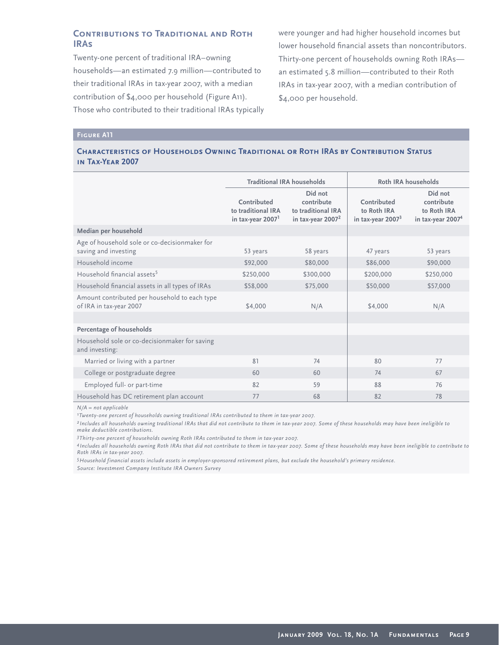# **Contributions to Traditional and Roth IRAs**

Twenty-one percent of traditional IRA–owning households—an estimated 7.9 million—contributed to their traditional IRAs in tax-year 2007, with a median contribution of \$4,000 per household (Figure A11). Those who contributed to their traditional IRAs typically were younger and had higher household incomes but lower household financial assets than noncontributors. Thirty-one percent of households owning Roth IRAs an estimated 5.8 million—contributed to their Roth IRAs in tax-year 2007, with a median contribution of \$4,000 per household.

### **Figure A11**

### **Characteristics of Households Owning Traditional or Roth IRAs by Contribution Status in Tax-Year 2007**

|                                                                          | <b>Traditional IRA households</b>                                  |                                                                    | Roth IRA households                               |                                                                       |
|--------------------------------------------------------------------------|--------------------------------------------------------------------|--------------------------------------------------------------------|---------------------------------------------------|-----------------------------------------------------------------------|
|                                                                          | Contributed<br>to traditional IRA<br>in tax-year 2007 <sup>1</sup> | Did not<br>contribute<br>to traditional IRA<br>in tax-year $20072$ | Contributed<br>to Roth IRA<br>in tax-year $20073$ | Did not<br>contribute<br>to Roth IRA<br>in tax-year 2007 <sup>4</sup> |
| Median per household                                                     |                                                                    |                                                                    |                                                   |                                                                       |
| Age of household sole or co-decisionmaker for<br>saving and investing    | 53 years                                                           | 58 years                                                           | 47 years                                          | 53 years                                                              |
| Household income                                                         | \$92,000                                                           | \$80,000                                                           | \$86,000                                          | \$90,000                                                              |
| Household financial assets <sup>5</sup>                                  | \$250,000                                                          | \$300,000                                                          | \$200,000                                         | \$250,000                                                             |
| Household financial assets in all types of IRAs                          | \$58,000                                                           | \$75,000                                                           | \$50,000                                          | \$57,000                                                              |
| Amount contributed per household to each type<br>of IRA in tax-year 2007 | \$4,000                                                            | N/A                                                                | \$4,000                                           | N/A                                                                   |
|                                                                          |                                                                    |                                                                    |                                                   |                                                                       |
| Percentage of households                                                 |                                                                    |                                                                    |                                                   |                                                                       |
| Household sole or co-decisionmaker for saving<br>and investing:          |                                                                    |                                                                    |                                                   |                                                                       |
| Married or living with a partner                                         | 81                                                                 | 74                                                                 | 80                                                | 77                                                                    |
| College or postgraduate degree                                           | 60                                                                 | 60                                                                 | 74                                                | 67                                                                    |
| Employed full- or part-time                                              | 82                                                                 | 59                                                                 | 88                                                | 76                                                                    |
| Household has DC retirement plan account                                 | 77                                                                 | 68                                                                 | 82                                                | 78                                                                    |

*N/A = not applicable*

*1Twenty-one percent of households owning traditional IRAs contributed to them in tax-year 2007.*

*2 Includes all households owning traditional IRAs that did not contribute to them in tax-year 2007. Some of these households may have been ineligible to make deductible contributions.*

*3Thirty-one percent of households owning Roth IRAs contributed to them in tax-year 2007.*

*4 Includes all households owning Roth IRAs that did not contribute to them in tax-year 2007. Some of these households may have been ineligible to contribute to Roth IRAs in tax-year 2007.* 

*5Household financial assets include assets in employer-sponsored retirement plans, but exclude the household's primary residence.*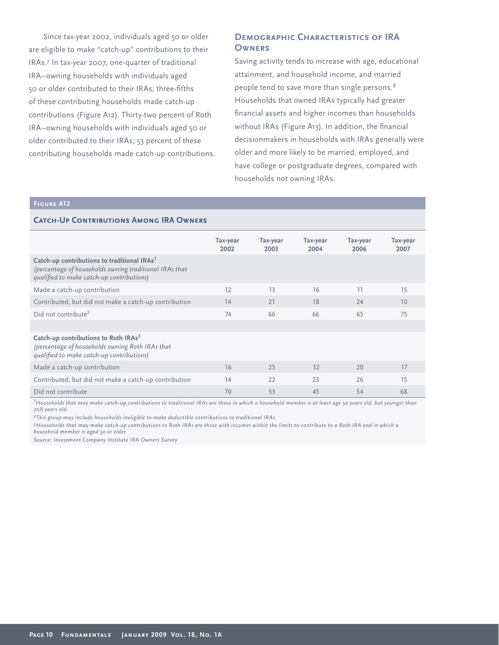Since tax-year 2002, individuals aged 50 or older are eligible to make "catch-up" contributions to their IRAs.7 In tax-year 2007, one-quarter of traditional IRA–owning households with individuals aged 50 or older contributed to their IRAs; three-fifths of these contributing households made catch-up contributions (Figure A12). Thirty-two percent of Roth IRA–owning households with individuals aged 50 or older contributed to their IRAs; 53 percent of these contributing households made catch-up contributions.

# **Demographic Characteristics of IRA Owners**

Saving activity tends to increase with age, educational attainment, and household income, and married people tend to save more than single persons.8 Households that owned IRAs typically had greater financial assets and higher incomes than households without IRAs (Figure A13). In addition, the financial decisionmakers in households with IRAs generally were older and more likely to be married, employed, and have college or postgraduate degrees, compared with households not owning IRAs.

#### **Figure A12**

#### **CATCH-UP CONTRIBUTIONS AMONG IRA OWNERS**

|                                                                                                                                                                | Tax-year<br>2002 | Tax-year<br>2003 | Tax-year<br>2004 | Tax-year<br>2006 | Tax-year<br>2007 |
|----------------------------------------------------------------------------------------------------------------------------------------------------------------|------------------|------------------|------------------|------------------|------------------|
| Catch-up contributions to traditional IRAs <sup>1</sup><br>(percentage of households owning traditional IRAs that<br>qualified to make catch-up contributions) |                  |                  |                  |                  |                  |
| Made a catch-up contribution                                                                                                                                   | 12               | 13               | 16               | 11               | 15               |
| Contributed, but did not make a catch-up contribution                                                                                                          | 14               | 21               | 18               | 24               | 10               |
| Did not contribute <sup>2</sup>                                                                                                                                | 74               | 66               | 66               | 65               | 75               |
|                                                                                                                                                                |                  |                  |                  |                  |                  |
| Catch-up contributions to Roth IRAs <sup>3</sup><br>(percentage of households owning Roth IRAs that<br>qualified to make catch-up contributions)               |                  |                  |                  |                  |                  |
| Made a catch-up contribution                                                                                                                                   | 16               | 25               | 32               | 20               | 17               |
| Contributed, but did not make a catch-up contribution                                                                                                          | 14               | 22               | 23               | 26               | 15               |
| Did not contribute                                                                                                                                             | 70               | 53               | 45               | 54               | 68               |

*1 Households that may make catch-up contributions to traditional IRAs are those in which a household member is at least age 50 years old, but younger than 70½ years old.*

*2This group may include households ineligible to make deductible contributions to traditional IRAs.* 

*3Households that may make catch-up contributions to Roth IRAs are those with incomes within the limits to contribute to a Roth IRA and in which a household member is aged 50 or older.*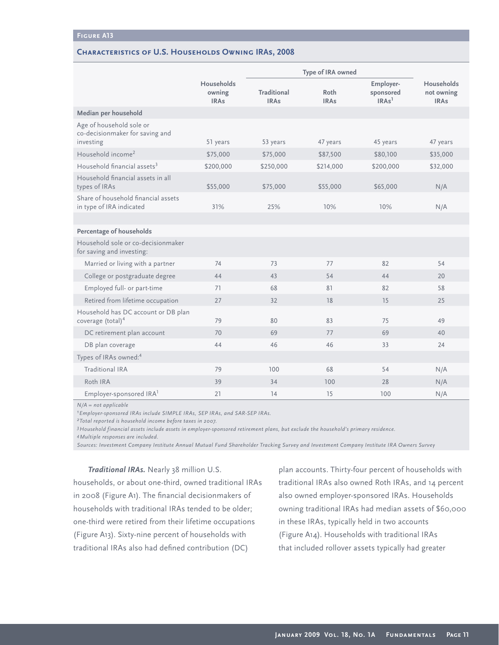#### **Characteristics of U.S. Households Owning IRAs, 2008**

|                                                                          |                                            | Type of IRA owned          |                     |                                             |                                         |
|--------------------------------------------------------------------------|--------------------------------------------|----------------------------|---------------------|---------------------------------------------|-----------------------------------------|
|                                                                          | <b>Households</b><br>owning<br><b>IRAs</b> | Traditional<br><b>IRAs</b> | Roth<br><b>IRAs</b> | Employer-<br>sponsored<br>IRAs <sup>1</sup> | Households<br>not owning<br><b>IRAs</b> |
| Median per household                                                     |                                            |                            |                     |                                             |                                         |
| Age of household sole or<br>co-decisionmaker for saving and<br>investing | 51 years                                   | 53 years                   | 47 years            | 45 years                                    | 47 years                                |
| Household income <sup>2</sup>                                            | \$75,000                                   | \$75,000                   | \$87,500            | \$80,100                                    | \$35,000                                |
| Household financial assets <sup>3</sup>                                  | \$200,000                                  | \$250,000                  | \$214,000           | \$200,000                                   | \$32,000                                |
| Household financial assets in all<br>types of IRAs                       | \$55,000                                   | \$75,000                   | \$55,000            | \$65,000                                    | N/A                                     |
| Share of household financial assets<br>in type of IRA indicated          | 31%                                        | 25%                        | 10%                 | 10%                                         | N/A                                     |
|                                                                          |                                            |                            |                     |                                             |                                         |
| Percentage of households                                                 |                                            |                            |                     |                                             |                                         |
| Household sole or co-decisionmaker<br>for saving and investing:          |                                            |                            |                     |                                             |                                         |
| Married or living with a partner                                         | 74                                         | 73                         | 77                  | 82                                          | 54                                      |
| College or postgraduate degree                                           | 44                                         | 43                         | 54                  | 44                                          | 20                                      |
| Employed full- or part-time                                              | 71                                         | 68                         | 81                  | 82                                          | 58                                      |
| Retired from lifetime occupation                                         | 27                                         | 32                         | 18                  | 15                                          | 25                                      |
| Household has DC account or DB plan<br>coverage (total) <sup>4</sup>     | 79                                         | 80                         | 83                  | 75                                          | 49                                      |
| DC retirement plan account                                               | 70                                         | 69                         | 77                  | 69                                          | 40                                      |
| DB plan coverage                                                         | 44                                         | 46                         | 46                  | 33                                          | 24                                      |
| Types of IRAs owned: <sup>4</sup>                                        |                                            |                            |                     |                                             |                                         |
| <b>Traditional IRA</b>                                                   | 79                                         | 100                        | 68                  | 54                                          | N/A                                     |
| Roth IRA                                                                 | 39                                         | 34                         | 100                 | 28                                          | N/A                                     |
| Employer-sponsored IRA <sup>1</sup>                                      | 21                                         | 14                         | 15                  | 100                                         | N/A                                     |

*N/A = not applicable* 

*1Employer-sponsored IRAs include SIMPLE IRAs, SEP IRAs, and SAR-SEP IRAs.*

*2Total reported is household income before taxes in 2007.*

*3Household financial assets include assets in employer-sponsored retirement plans, but exclude the household's primary residence.*

*4Multiple responses are included.* 

*Sources: Investment Company Institute Annual Mutual Fund Shareholder Tracking Survey and Investment Company Institute IRA Owners Survey*

#### *Traditional IRAs.* Nearly 38 million U.S.

households, or about one-third, owned traditional IRAs in 2008 (Figure A1). The financial decisionmakers of households with traditional IRAs tended to be older; one-third were retired from their lifetime occupations (Figure A13). Sixty-nine percent of households with traditional IRAs also had defined contribution (DC)

plan accounts. Thirty-four percent of households with traditional IRAs also owned Roth IRAs, and 14 percent also owned employer-sponsored IRAs. Households owning traditional IRAs had median assets of \$60,000 in these IRAs, typically held in two accounts (Figure A14). Households with traditional IRAs that included rollover assets typically had greater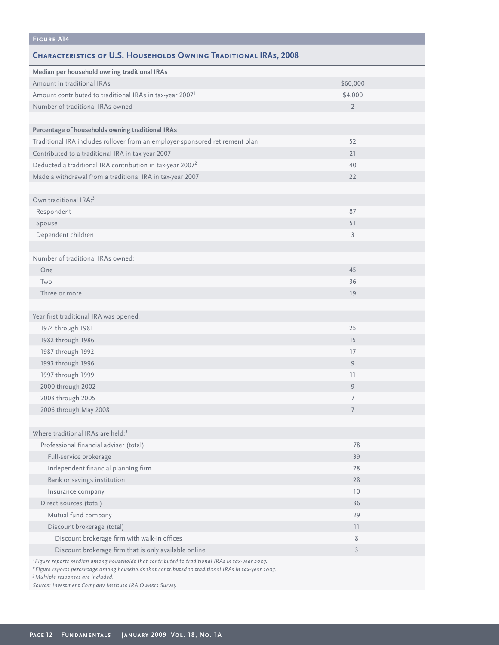| <b>FIGURE A14</b>                                                                                          |                |
|------------------------------------------------------------------------------------------------------------|----------------|
| <b>CHARACTERISTICS OF U.S. HOUSEHOLDS OWNING TRADITIONAL IRAS, 2008</b>                                    |                |
| Median per household owning traditional IRAs                                                               |                |
| Amount in traditional IRAs                                                                                 | \$60,000       |
| Amount contributed to traditional IRAs in tax-year 2007 <sup>1</sup>                                       | \$4,000        |
| Number of traditional IRAs owned                                                                           | $\overline{2}$ |
|                                                                                                            |                |
| Percentage of households owning traditional IRAs                                                           |                |
| Traditional IRA includes rollover from an employer-sponsored retirement plan                               | 52             |
| Contributed to a traditional IRA in tax-year 2007                                                          | 21             |
| Deducted a traditional IRA contribution in tax-year 2007 <sup>2</sup>                                      | 40             |
| Made a withdrawal from a traditional IRA in tax-year 2007                                                  | 22             |
|                                                                                                            |                |
| Own traditional IRA: <sup>3</sup>                                                                          |                |
| Respondent                                                                                                 | 87             |
| Spouse                                                                                                     | 51             |
| Dependent children                                                                                         | 3              |
|                                                                                                            |                |
| Number of traditional IRAs owned:                                                                          |                |
| One                                                                                                        | 45             |
| Two                                                                                                        | 36             |
| Three or more                                                                                              | 19             |
|                                                                                                            |                |
| Year first traditional IRA was opened:                                                                     |                |
| 1974 through 1981                                                                                          | 25             |
| 1982 through 1986                                                                                          | 15             |
| 1987 through 1992                                                                                          | 17             |
| 1993 through 1996                                                                                          | 9              |
| 1997 through 1999                                                                                          | 11             |
| 2000 through 2002                                                                                          | 9              |
| 2003 through 2005                                                                                          | 7              |
| 2006 through May 2008                                                                                      | 7              |
|                                                                                                            |                |
| Where traditional IRAs are held: <sup>3</sup>                                                              |                |
| Professional financial adviser (total)                                                                     | 78             |
| Full-service brokerage                                                                                     | 39             |
| Independent financial planning firm                                                                        | 28             |
| Bank or savings institution                                                                                | 28             |
| Insurance company                                                                                          | 10             |
| Direct sources (total)                                                                                     | 36             |
| Mutual fund company                                                                                        | 29             |
| Discount brokerage (total)                                                                                 | 11             |
| Discount brokerage firm with walk-in offices                                                               | 8              |
| Discount brokerage firm that is only available online                                                      | $\overline{3}$ |
| <sup>1</sup> Figure reports median among households that contributed to traditional IRAs in tax-year 2007. |                |

*2Figure reports percentage among households that contributed to traditional IRAs in tax-year 2007.*

*3Multiple responses are included.*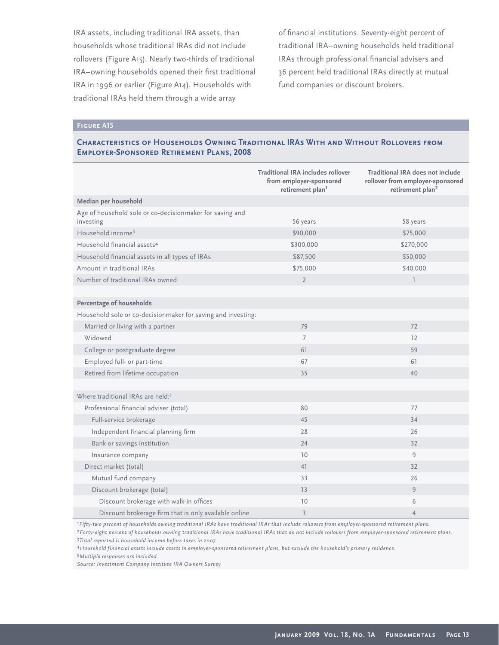IRA assets, including traditional IRA assets, than households whose traditional IRAs did not include rollovers (Figure A15). Nearly two-thirds of traditional IRA-owning households opened their first traditional IRA in 1996 or earlier (Figure A14). Households with traditional IRAs held them through a wide array

of financial institutions. Seventy-eight percent of traditional IRA–owning households held traditional IRAs through professional financial advisers and 36 percent held traditional IRAs directly at mutual fund companies or discount brokers.

# **Figure A15**

# **Characteristics of Households Owning Traditional IRAs With and Without Rollovers from Employer-Sponsored Retirement Plans, 2008**

|                                                                       | Traditional IRA includes rollover<br>from employer-sponsored<br>retirement plan <sup>1</sup> | Traditional IRA does not include<br>rollover from employer-sponsored<br>retirement plan <sup>2</sup> |
|-----------------------------------------------------------------------|----------------------------------------------------------------------------------------------|------------------------------------------------------------------------------------------------------|
| Median per household                                                  |                                                                                              |                                                                                                      |
| Age of household sole or co-decisionmaker for saving and<br>investing | 56 years                                                                                     | 58 years                                                                                             |
| Household income <sup>3</sup>                                         | \$90,000                                                                                     | \$75,000                                                                                             |
| Household financial assets <sup>4</sup>                               | \$300,000                                                                                    | \$270,000                                                                                            |
| Household financial assets in all types of IRAs                       | \$87,500                                                                                     | \$50,000                                                                                             |
| Amount in traditional IRAs                                            | \$75,000                                                                                     | \$40,000                                                                                             |
| Number of traditional IRAs owned                                      | $\overline{2}$                                                                               | $\overline{1}$                                                                                       |
|                                                                       |                                                                                              |                                                                                                      |
| Percentage of households                                              |                                                                                              |                                                                                                      |
| Household sole or co-decisionmaker for saving and investing:          |                                                                                              |                                                                                                      |
| Married or living with a partner                                      | 79                                                                                           | 72                                                                                                   |
| Widowed                                                               | $\overline{7}$                                                                               | 12                                                                                                   |
| College or postgraduate degree                                        | 61                                                                                           | 59                                                                                                   |
| Employed full- or part-time                                           | 67                                                                                           | 61                                                                                                   |
| Retired from lifetime occupation                                      | 35                                                                                           | 40                                                                                                   |
|                                                                       |                                                                                              |                                                                                                      |
| Where traditional IRAs are held: <sup>5</sup>                         |                                                                                              |                                                                                                      |
| Professional financial adviser (total)                                | 80                                                                                           | 77                                                                                                   |
| Full-service brokerage                                                | 45                                                                                           | 34                                                                                                   |
| Independent financial planning firm                                   | 28                                                                                           | 26                                                                                                   |
| Bank or savings institution                                           | 24                                                                                           | 32                                                                                                   |
| Insurance company                                                     | 10                                                                                           | 9                                                                                                    |
| Direct market (total)                                                 | 41                                                                                           | 32                                                                                                   |
| Mutual fund company                                                   | 33                                                                                           | 26                                                                                                   |
| Discount brokerage (total)                                            | 13                                                                                           | 9                                                                                                    |
| Discount brokerage with walk-in offices                               | 10                                                                                           | 6                                                                                                    |
| Discount brokerage firm that is only available online                 | $\overline{3}$                                                                               | $\overline{4}$                                                                                       |

*1Fifty-two percent of households owning traditional IRAs have traditional IRAs that include rollovers from employer-sponsored retirement plans. 2Forty-eight percent of households owning traditional IRAs have traditional IRAs that do not include rollovers from employer-sponsored retirement plans. 3Total reported is household income before taxes in 2007.*

*4Household financial assets include assets in employer-sponsored retirement plans, but exclude the household's primary residence.*

*5Multiple responses are included.*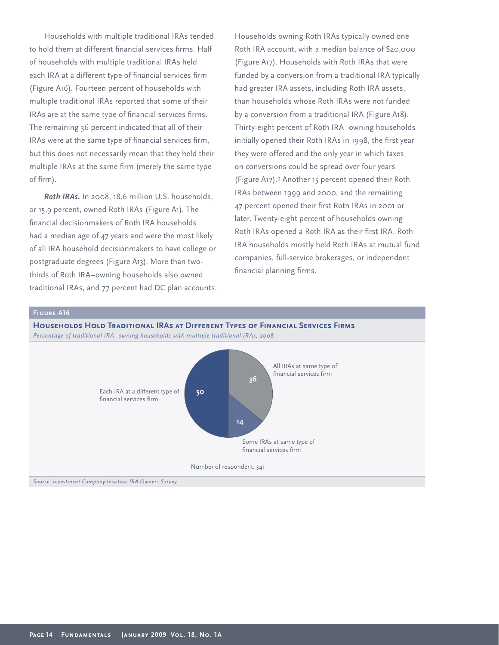Households with multiple traditional IRAs tended to hold them at different financial services firms. Half of households with multiple traditional IRAs held each IRA at a different type of financial services firm (Figure A16). Fourteen percent of households with multiple traditional IRAs reported that some of their IRAs are at the same type of financial services firms. The remaining 36 percent indicated that all of their IRAs were at the same type of financial services firm, but this does not necessarily mean that they held their multiple IRAs at the same firm (merely the same type of firm).

*Roth IRAs.* In 2008, 18.6 million U.S. households, or 15.9 percent, owned Roth IRAs (Figure A1). The financial decisionmakers of Roth IRA households had a median age of 47 years and were the most likely of all IRA household decisionmakers to have college or postgraduate degrees (Figure A13). More than twothirds of Roth IRA–owning households also owned traditional IRAs, and 77 percent had DC plan accounts. Households owning Roth IRAs typically owned one Roth IRA account, with a median balance of \$20,000 (Figure A17). Households with Roth IRAs that were funded by a conversion from a traditional IRA typically had greater IRA assets, including Roth IRA assets, than households whose Roth IRAs were not funded by a conversion from a traditional IRA (Figure A18). Thirty-eight percent of Roth IRA–owning households initially opened their Roth IRAs in 1998, the first year they were offered and the only year in which taxes on conversions could be spread over four years (Figure A17).9 Another 15 percent opened their Roth IRAs between 1999 and 2000, and the remaining 47 percent opened their first Roth IRAs in 2001 or later. Twenty-eight percent of households owning Roth IRAs opened a Roth IRA as their first IRA. Roth IRA households mostly held Roth IRAs at mutual fund companies, full-service brokerages, or independent financial planning firms.





financial services firm

Number of respondent: 341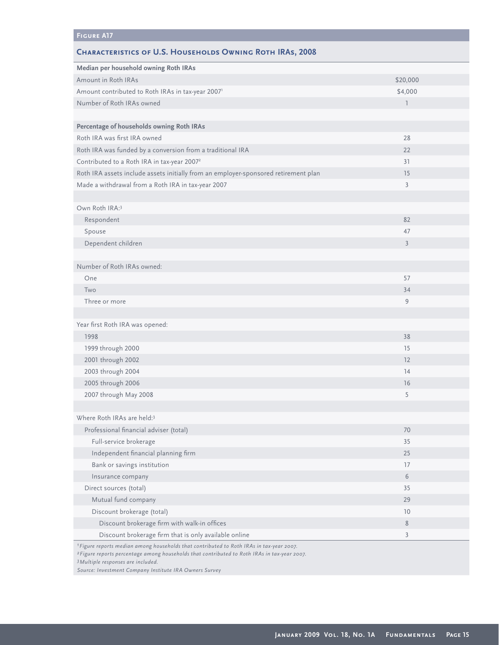# **Figure A17**

# **Characteristics of U.S. Households Owning Roth IRAs, 2008**

| Median per household owning Roth IRAs<br>Amount in Roth IRAs<br>\$20,000<br>Amount contributed to Roth IRAs in tax-year 20071<br>\$4,000<br>Number of Roth IRAs owned<br>$\mathbb{I}$<br>Percentage of households owning Roth IRAs<br>Roth IRA was first IRA owned<br>28<br>Roth IRA was funded by a conversion from a traditional IRA<br>22<br>Contributed to a Roth IRA in tax-year 2007 <sup>2</sup><br>31<br>Roth IRA assets include assets initially from an employer-sponsored retirement plan<br>15<br>Made a withdrawal from a Roth IRA in tax-year 2007<br>$\mathfrak{Z}$<br>Own Roth IRA:3<br>Respondent<br>82<br>Spouse<br>47<br>Dependent children<br>$\overline{3}$<br>Number of Roth IRAs owned:<br>One<br>57<br>Two<br>34<br>Three or more<br>9<br>Year first Roth IRA was opened:<br>1998<br>38<br>1999 through 2000<br>15<br>2001 through 2002<br>12<br>2003 through 2004<br>14<br>2005 through 2006<br>16<br>2007 through May 2008<br>5<br>Where Roth IRAs are held:3<br>Professional financial adviser (total)<br>70<br>Full-service brokerage<br>35<br>Independent financial planning firm<br>25<br>Bank or savings institution<br>17<br>6<br>Insurance company<br>Direct sources (total)<br>35<br>Mutual fund company<br>29<br>Discount brokerage (total)<br>10<br>Discount brokerage firm with walk-in offices<br>$\,$ 8 $\,$<br>Discount brokerage firm that is only available online<br>$\mathfrak{Z}$ |  |
|--------------------------------------------------------------------------------------------------------------------------------------------------------------------------------------------------------------------------------------------------------------------------------------------------------------------------------------------------------------------------------------------------------------------------------------------------------------------------------------------------------------------------------------------------------------------------------------------------------------------------------------------------------------------------------------------------------------------------------------------------------------------------------------------------------------------------------------------------------------------------------------------------------------------------------------------------------------------------------------------------------------------------------------------------------------------------------------------------------------------------------------------------------------------------------------------------------------------------------------------------------------------------------------------------------------------------------------------------------------------------------------------------------------------------------|--|
|                                                                                                                                                                                                                                                                                                                                                                                                                                                                                                                                                                                                                                                                                                                                                                                                                                                                                                                                                                                                                                                                                                                                                                                                                                                                                                                                                                                                                                |  |
|                                                                                                                                                                                                                                                                                                                                                                                                                                                                                                                                                                                                                                                                                                                                                                                                                                                                                                                                                                                                                                                                                                                                                                                                                                                                                                                                                                                                                                |  |
|                                                                                                                                                                                                                                                                                                                                                                                                                                                                                                                                                                                                                                                                                                                                                                                                                                                                                                                                                                                                                                                                                                                                                                                                                                                                                                                                                                                                                                |  |
|                                                                                                                                                                                                                                                                                                                                                                                                                                                                                                                                                                                                                                                                                                                                                                                                                                                                                                                                                                                                                                                                                                                                                                                                                                                                                                                                                                                                                                |  |
|                                                                                                                                                                                                                                                                                                                                                                                                                                                                                                                                                                                                                                                                                                                                                                                                                                                                                                                                                                                                                                                                                                                                                                                                                                                                                                                                                                                                                                |  |
|                                                                                                                                                                                                                                                                                                                                                                                                                                                                                                                                                                                                                                                                                                                                                                                                                                                                                                                                                                                                                                                                                                                                                                                                                                                                                                                                                                                                                                |  |
|                                                                                                                                                                                                                                                                                                                                                                                                                                                                                                                                                                                                                                                                                                                                                                                                                                                                                                                                                                                                                                                                                                                                                                                                                                                                                                                                                                                                                                |  |
|                                                                                                                                                                                                                                                                                                                                                                                                                                                                                                                                                                                                                                                                                                                                                                                                                                                                                                                                                                                                                                                                                                                                                                                                                                                                                                                                                                                                                                |  |
|                                                                                                                                                                                                                                                                                                                                                                                                                                                                                                                                                                                                                                                                                                                                                                                                                                                                                                                                                                                                                                                                                                                                                                                                                                                                                                                                                                                                                                |  |
|                                                                                                                                                                                                                                                                                                                                                                                                                                                                                                                                                                                                                                                                                                                                                                                                                                                                                                                                                                                                                                                                                                                                                                                                                                                                                                                                                                                                                                |  |
|                                                                                                                                                                                                                                                                                                                                                                                                                                                                                                                                                                                                                                                                                                                                                                                                                                                                                                                                                                                                                                                                                                                                                                                                                                                                                                                                                                                                                                |  |
|                                                                                                                                                                                                                                                                                                                                                                                                                                                                                                                                                                                                                                                                                                                                                                                                                                                                                                                                                                                                                                                                                                                                                                                                                                                                                                                                                                                                                                |  |
|                                                                                                                                                                                                                                                                                                                                                                                                                                                                                                                                                                                                                                                                                                                                                                                                                                                                                                                                                                                                                                                                                                                                                                                                                                                                                                                                                                                                                                |  |
|                                                                                                                                                                                                                                                                                                                                                                                                                                                                                                                                                                                                                                                                                                                                                                                                                                                                                                                                                                                                                                                                                                                                                                                                                                                                                                                                                                                                                                |  |
|                                                                                                                                                                                                                                                                                                                                                                                                                                                                                                                                                                                                                                                                                                                                                                                                                                                                                                                                                                                                                                                                                                                                                                                                                                                                                                                                                                                                                                |  |
|                                                                                                                                                                                                                                                                                                                                                                                                                                                                                                                                                                                                                                                                                                                                                                                                                                                                                                                                                                                                                                                                                                                                                                                                                                                                                                                                                                                                                                |  |
|                                                                                                                                                                                                                                                                                                                                                                                                                                                                                                                                                                                                                                                                                                                                                                                                                                                                                                                                                                                                                                                                                                                                                                                                                                                                                                                                                                                                                                |  |
|                                                                                                                                                                                                                                                                                                                                                                                                                                                                                                                                                                                                                                                                                                                                                                                                                                                                                                                                                                                                                                                                                                                                                                                                                                                                                                                                                                                                                                |  |
|                                                                                                                                                                                                                                                                                                                                                                                                                                                                                                                                                                                                                                                                                                                                                                                                                                                                                                                                                                                                                                                                                                                                                                                                                                                                                                                                                                                                                                |  |
|                                                                                                                                                                                                                                                                                                                                                                                                                                                                                                                                                                                                                                                                                                                                                                                                                                                                                                                                                                                                                                                                                                                                                                                                                                                                                                                                                                                                                                |  |
|                                                                                                                                                                                                                                                                                                                                                                                                                                                                                                                                                                                                                                                                                                                                                                                                                                                                                                                                                                                                                                                                                                                                                                                                                                                                                                                                                                                                                                |  |
|                                                                                                                                                                                                                                                                                                                                                                                                                                                                                                                                                                                                                                                                                                                                                                                                                                                                                                                                                                                                                                                                                                                                                                                                                                                                                                                                                                                                                                |  |
|                                                                                                                                                                                                                                                                                                                                                                                                                                                                                                                                                                                                                                                                                                                                                                                                                                                                                                                                                                                                                                                                                                                                                                                                                                                                                                                                                                                                                                |  |
|                                                                                                                                                                                                                                                                                                                                                                                                                                                                                                                                                                                                                                                                                                                                                                                                                                                                                                                                                                                                                                                                                                                                                                                                                                                                                                                                                                                                                                |  |
|                                                                                                                                                                                                                                                                                                                                                                                                                                                                                                                                                                                                                                                                                                                                                                                                                                                                                                                                                                                                                                                                                                                                                                                                                                                                                                                                                                                                                                |  |
|                                                                                                                                                                                                                                                                                                                                                                                                                                                                                                                                                                                                                                                                                                                                                                                                                                                                                                                                                                                                                                                                                                                                                                                                                                                                                                                                                                                                                                |  |
|                                                                                                                                                                                                                                                                                                                                                                                                                                                                                                                                                                                                                                                                                                                                                                                                                                                                                                                                                                                                                                                                                                                                                                                                                                                                                                                                                                                                                                |  |
|                                                                                                                                                                                                                                                                                                                                                                                                                                                                                                                                                                                                                                                                                                                                                                                                                                                                                                                                                                                                                                                                                                                                                                                                                                                                                                                                                                                                                                |  |
|                                                                                                                                                                                                                                                                                                                                                                                                                                                                                                                                                                                                                                                                                                                                                                                                                                                                                                                                                                                                                                                                                                                                                                                                                                                                                                                                                                                                                                |  |
|                                                                                                                                                                                                                                                                                                                                                                                                                                                                                                                                                                                                                                                                                                                                                                                                                                                                                                                                                                                                                                                                                                                                                                                                                                                                                                                                                                                                                                |  |
|                                                                                                                                                                                                                                                                                                                                                                                                                                                                                                                                                                                                                                                                                                                                                                                                                                                                                                                                                                                                                                                                                                                                                                                                                                                                                                                                                                                                                                |  |
|                                                                                                                                                                                                                                                                                                                                                                                                                                                                                                                                                                                                                                                                                                                                                                                                                                                                                                                                                                                                                                                                                                                                                                                                                                                                                                                                                                                                                                |  |
|                                                                                                                                                                                                                                                                                                                                                                                                                                                                                                                                                                                                                                                                                                                                                                                                                                                                                                                                                                                                                                                                                                                                                                                                                                                                                                                                                                                                                                |  |
|                                                                                                                                                                                                                                                                                                                                                                                                                                                                                                                                                                                                                                                                                                                                                                                                                                                                                                                                                                                                                                                                                                                                                                                                                                                                                                                                                                                                                                |  |
|                                                                                                                                                                                                                                                                                                                                                                                                                                                                                                                                                                                                                                                                                                                                                                                                                                                                                                                                                                                                                                                                                                                                                                                                                                                                                                                                                                                                                                |  |
|                                                                                                                                                                                                                                                                                                                                                                                                                                                                                                                                                                                                                                                                                                                                                                                                                                                                                                                                                                                                                                                                                                                                                                                                                                                                                                                                                                                                                                |  |
|                                                                                                                                                                                                                                                                                                                                                                                                                                                                                                                                                                                                                                                                                                                                                                                                                                                                                                                                                                                                                                                                                                                                                                                                                                                                                                                                                                                                                                |  |
|                                                                                                                                                                                                                                                                                                                                                                                                                                                                                                                                                                                                                                                                                                                                                                                                                                                                                                                                                                                                                                                                                                                                                                                                                                                                                                                                                                                                                                |  |
|                                                                                                                                                                                                                                                                                                                                                                                                                                                                                                                                                                                                                                                                                                                                                                                                                                                                                                                                                                                                                                                                                                                                                                                                                                                                                                                                                                                                                                |  |
|                                                                                                                                                                                                                                                                                                                                                                                                                                                                                                                                                                                                                                                                                                                                                                                                                                                                                                                                                                                                                                                                                                                                                                                                                                                                                                                                                                                                                                |  |
|                                                                                                                                                                                                                                                                                                                                                                                                                                                                                                                                                                                                                                                                                                                                                                                                                                                                                                                                                                                                                                                                                                                                                                                                                                                                                                                                                                                                                                |  |

*1Figure reports median among households that contributed to Roth IRAs in tax-year 2007.*

*2Figure reports percentage among households that contributed to Roth IRAs in tax-year 2007.*

*3Multiple responses are included.*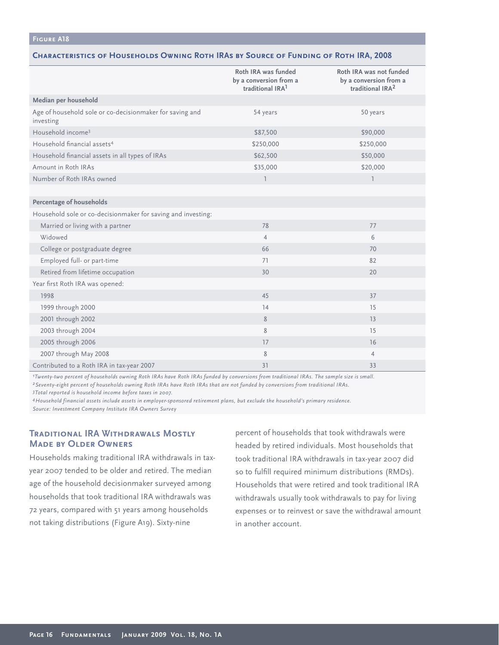#### **Figure A18**

#### **Characteristics of Households Owning Roth IRAs by Source of Funding of Roth IRA, 2008**

|                                                                       | Roth IRA was funded<br>by a conversion from a<br>traditional IRA <sup>1</sup> | Roth IRA was not funded<br>by a conversion from a<br>traditional IRA <sup>2</sup> |
|-----------------------------------------------------------------------|-------------------------------------------------------------------------------|-----------------------------------------------------------------------------------|
| Median per household                                                  |                                                                               |                                                                                   |
| Age of household sole or co-decisionmaker for saving and<br>investing | 54 years                                                                      | 50 years                                                                          |
| Household income <sup>3</sup>                                         | \$87,500                                                                      | \$90,000                                                                          |
| Household financial assets <sup>4</sup>                               | \$250,000                                                                     | \$250,000                                                                         |
| Household financial assets in all types of IRAs                       | \$62,500                                                                      | \$50,000                                                                          |
| Amount in Roth IRAs                                                   | \$35,000                                                                      | \$20,000                                                                          |
| Number of Roth IRAs owned                                             | $\overline{1}$                                                                | $\overline{1}$                                                                    |
|                                                                       |                                                                               |                                                                                   |
| Percentage of households                                              |                                                                               |                                                                                   |
| Household sole or co-decisionmaker for saving and investing:          |                                                                               |                                                                                   |
| Married or living with a partner                                      | 78                                                                            | 77                                                                                |
| Widowed                                                               | $\overline{4}$                                                                | 6                                                                                 |
| College or postgraduate degree                                        | 66                                                                            | 70                                                                                |
| Employed full- or part-time                                           | 71                                                                            | 82                                                                                |
| Retired from lifetime occupation                                      | 30                                                                            | 20                                                                                |
| Year first Roth IRA was opened:                                       |                                                                               |                                                                                   |
| 1998                                                                  | 45                                                                            | 37                                                                                |
| 1999 through 2000                                                     | 14                                                                            | 15                                                                                |
| 2001 through 2002                                                     | 8                                                                             | 13                                                                                |
| 2003 through 2004                                                     | 8                                                                             | 15                                                                                |
| 2005 through 2006                                                     | 17                                                                            | 16                                                                                |
| 2007 through May 2008                                                 | 8                                                                             | $\overline{4}$                                                                    |
| Contributed to a Roth IRA in tax-year 2007                            | 31                                                                            | 33                                                                                |

*1Twenty-two percent of households owning Roth IRAs have Roth IRAs funded by conversions from traditional IRAs. The sample size is small. 2Seventy-eight percent of households owning Roth IRAs have Roth IRAs that are not funded by conversions from traditional IRAs.*

*3Total reported is household income before taxes in 2007.*

*4Household financial assets include assets in employer-sponsored retirement plans, but exclude the household's primary residence. Source: Investment Company Institute IRA Owners Survey*

# **Traditional IRA Withdrawals Mostly Made by Older Owners**

Households making traditional IRA withdrawals in taxyear 2007 tended to be older and retired. The median age of the household decisionmaker surveyed among households that took traditional IRA withdrawals was 72 years, compared with 51 years among households not taking distributions (Figure A19). Sixty-nine

percent of households that took withdrawals were headed by retired individuals. Most households that took traditional IRA withdrawals in tax-year 2007 did so to fulfill required minimum distributions (RMDs). Households that were retired and took traditional IRA withdrawals usually took withdrawals to pay for living expenses or to reinvest or save the withdrawal amount in another account.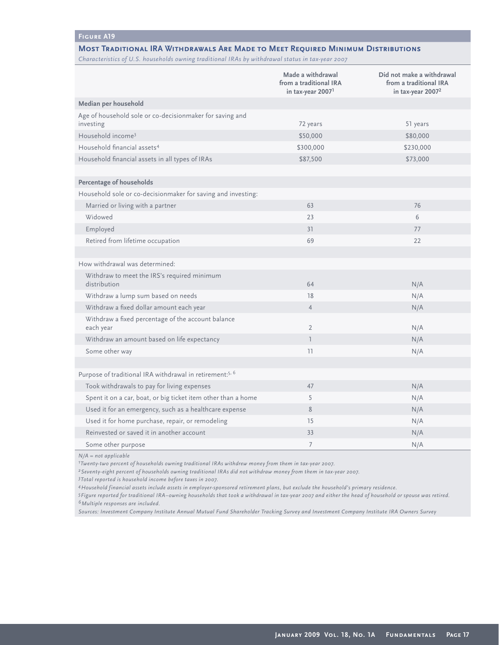#### **Figure A19**

#### **Most Traditional IRA Withdrawals Are Made to Meet Required Minimum Distributions**

*Characteristics of U.S. households owning traditional IRAs by withdrawal status in tax-year 2007*

|                                                                       | Made a withdrawal<br>from a traditional IRA<br>in tax-year 2007 <sup>1</sup> | Did not make a withdrawal<br>from a traditional IRA<br>in tax-year 2007 <sup>2</sup> |
|-----------------------------------------------------------------------|------------------------------------------------------------------------------|--------------------------------------------------------------------------------------|
| Median per household                                                  |                                                                              |                                                                                      |
| Age of household sole or co-decisionmaker for saving and<br>investing | 72 years                                                                     | 51 years                                                                             |
| Household income <sup>3</sup>                                         | \$50,000                                                                     | \$80,000                                                                             |
| Household financial assets <sup>4</sup>                               | \$300,000                                                                    | \$230,000                                                                            |
| Household financial assets in all types of IRAs                       | \$87,500                                                                     | \$73,000                                                                             |
|                                                                       |                                                                              |                                                                                      |
| Percentage of households                                              |                                                                              |                                                                                      |
| Household sole or co-decisionmaker for saving and investing:          |                                                                              |                                                                                      |
| Married or living with a partner                                      | 63                                                                           | 76                                                                                   |
| Widowed                                                               | 23                                                                           | 6                                                                                    |
| Employed                                                              | 31                                                                           | 77                                                                                   |
| Retired from lifetime occupation                                      | 69                                                                           | 22                                                                                   |
|                                                                       |                                                                              |                                                                                      |
| How withdrawal was determined:                                        |                                                                              |                                                                                      |
| Withdraw to meet the IRS's required minimum<br>distribution           | 64                                                                           | N/A                                                                                  |
| Withdraw a lump sum based on needs                                    | 18                                                                           | N/A                                                                                  |
| Withdraw a fixed dollar amount each year                              | $\overline{4}$                                                               | N/A                                                                                  |
| Withdraw a fixed percentage of the account balance<br>each year       | $\overline{2}$                                                               | N/A                                                                                  |
| Withdraw an amount based on life expectancy                           | $\overline{1}$                                                               | N/A                                                                                  |
| Some other way                                                        | 11                                                                           | N/A                                                                                  |
|                                                                       |                                                                              |                                                                                      |
| Purpose of traditional IRA withdrawal in retirement: <sup>5, 6</sup>  |                                                                              |                                                                                      |
| Took withdrawals to pay for living expenses                           | 47                                                                           | N/A                                                                                  |
| Spent it on a car, boat, or big ticket item other than a home         | 5                                                                            | N/A                                                                                  |
| Used it for an emergency, such as a healthcare expense                | 8                                                                            | N/A                                                                                  |
| Used it for home purchase, repair, or remodeling                      | 15                                                                           | N/A                                                                                  |
| Reinvested or saved it in another account                             | 33                                                                           | N/A                                                                                  |
| Some other purpose                                                    | $\overline{7}$                                                               | N/A                                                                                  |

*N/A = not applicable*

*1Twenty-two percent of households owning traditional IRAs withdrew money from them in tax-year 2007.* 

*2Seventy-eight percent of households owning traditional IRAs did not withdraw money from them in tax-year 2007.*

*3Total reported is household income before taxes in 2007.*

*4Household financial assets include assets in employer-sponsored retirement plans, but exclude the household's primary residence.*

*5Figure reported for traditional IRA–owning households that took a withdrawal in tax-year 2007 and either the head of household or spouse was retired. 6Multiple responses are included.*

*Sources: Investment Company Institute Annual Mutual Fund Shareholder Tracking Survey and Investment Company Institute IRA Owners Survey*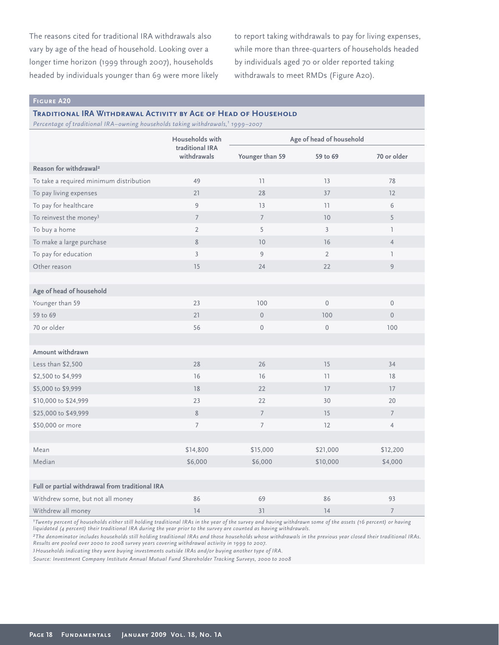The reasons cited for traditional IRA withdrawals also vary by age of the head of household. Looking over a longer time horizon (1999 through 2007), households headed by individuals younger than 69 were more likely to report taking withdrawals to pay for living expenses, while more than three-quarters of households headed by individuals aged 70 or older reported taking withdrawals to meet RMDs (Figure A20).

#### **Figure A20**

#### **Traditional IRA Withdrawal Activity by Age of Head of Household**

*Percentage of traditional IRA–owning households taking withdrawals,1 1999–2007*

|                                                 | Households with                | Age of head of household |                |                     |  |
|-------------------------------------------------|--------------------------------|--------------------------|----------------|---------------------|--|
|                                                 | traditional IRA<br>withdrawals | Younger than 59          | 59 to 69       | 70 or older         |  |
| Reason for withdrawal <sup>2</sup>              |                                |                          |                |                     |  |
| To take a required minimum distribution         | 49                             | 11                       | 13             | 78                  |  |
| To pay living expenses                          | 21                             | 28                       | 37             | 12                  |  |
| To pay for healthcare                           | 9                              | 13                       | 11             | 6                   |  |
| To reinvest the money <sup>3</sup>              | $\overline{7}$                 | $\overline{7}$           | 10             | 5                   |  |
| To buy a home                                   | $\overline{2}$                 | 5                        | $\overline{3}$ | $\mathbb{I}$        |  |
| To make a large purchase                        | 8                              | 10                       | 16             | $\overline{4}$      |  |
| To pay for education                            | $\overline{3}$                 | 9                        | $\overline{2}$ | $\mathbb{I}$        |  |
| Other reason                                    | 15                             | 24                       | 22             | 9                   |  |
|                                                 |                                |                          |                |                     |  |
| Age of head of household                        |                                |                          |                |                     |  |
| Younger than 59                                 | 23                             | 100                      | $\mathbf{0}$   | $\mathsf{O}\xspace$ |  |
| 59 to 69                                        | 21                             | $\mathbb O$              | 100            | $\overline{0}$      |  |
| 70 or older                                     | 56                             | $\mathbf 0$              | 0              | 100                 |  |
|                                                 |                                |                          |                |                     |  |
| Amount withdrawn                                |                                |                          |                |                     |  |
| Less than \$2,500                               | 28                             | 26                       | 15             | 34                  |  |
| \$2,500 to \$4,999                              | 16                             | 16                       | 11             | 18                  |  |
| \$5,000 to \$9,999                              | 18                             | 22                       | 17             | 17                  |  |
| \$10,000 to \$24,999                            | 23                             | 22                       | 30             | 20                  |  |
| \$25,000 to \$49,999                            | 8                              | $\overline{7}$           | 15             | $7\overline{ }$     |  |
| \$50,000 or more                                | $\overline{7}$                 | $\overline{7}$           | 12             | $\overline{4}$      |  |
|                                                 |                                |                          |                |                     |  |
| Mean                                            | \$14,800                       | \$15,000                 | \$21,000       | \$12,200            |  |
| Median                                          | \$6,000                        | \$6,000                  | \$10,000       | \$4,000             |  |
|                                                 |                                |                          |                |                     |  |
| Full or partial withdrawal from traditional IRA |                                |                          |                |                     |  |
| Withdrew some, but not all money                | 86                             | 69                       | 86             | 93                  |  |
| Withdrew all money                              | 14                             | 31                       | 14             | $\overline{7}$      |  |

*1Twenty percent of households either still holding traditional IRAs in the year of the survey and having withdrawn some of the assets (16 percent) or having liquidated (4 percent) their traditional IRA during the year prior to the survey are counted as having withdrawals.*

*2The denominator includes households still holding traditional IRAs and those households whose withdrawals in the previous year closed their traditional IRAs. Results are pooled over 2000 to 2008 survey years covering withdrawal activity in 1999 to 2007.* 

*3Households indicating they were buying investments outside IRAs and/or buying another type of IRA.* 

*Source: Investment Company Institute Annual Mutual Fund Shareholder Tracking Surveys, 2000 to 2008*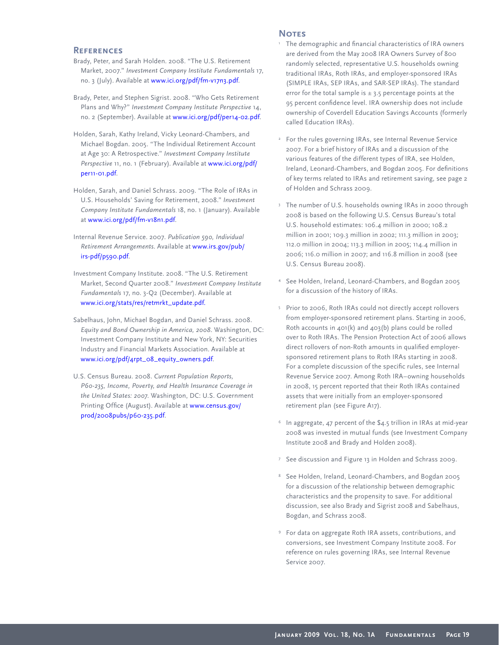#### **References**

- Brady, Peter, and Sarah Holden. 2008. "The U.S. Retirement Market, 2007." *Investment Company Institute Fundamentals* 17, no. 3 (July). Available [at www.ici.org/pdf/fm-v17n3.pdf.](http://www.ici.org/pdf/fm-v17n3.pdf)
- Brady, Peter, and Stephen Sigrist. 2008. "Who Gets Retirement Plans and Why?" *Investment Company Institute Perspective* 14, no. 2 (September). Available at [www.ici.org/pdf/per14-02.pdf.](http://www.ici.org/pdf/per14-02.pdf)
- Holden, Sarah, Kathy Ireland, Vicky Leonard-Chambers, and Michael Bogdan. 2005. "The Individual Retirement Account at Age 30: A Retrospective." *Investment Company Institute Perspective* 11, no. 1 (February). Available at [www.ici.org/pdf/](http://www.ici.org/pdf/per11-01.pdf) [per11-01.pdf.](http://www.ici.org/pdf/per11-01.pdf)
- Holden, Sarah, and Daniel Schrass. 2009. "The Role of IRAs in U.S. Households' Saving for Retirement, 2008." *Investment Company Institute Fundamentals* 18, no. 1 (January). Available [at www.ici.org/pdf/fm-v18n1.pdf.](http://www.ici.org/pdf/fm-v18n1.pdf)
- Internal Revenue Service. 2007. *Publication 590, Individual Retirement Arrangements*. Available at [www.irs.gov/pub/](http://www.irs.gov/pub/irs-pdf/p590.pdf) [irs-pdf/p590.pdf.](http://www.irs.gov/pub/irs-pdf/p590.pdf)
- Investment Company Institute. 2008. "The U.S. Retirement Market, Second Quarter 2008." *Investment Company Institute Fundamentals* 17, no. 3-Q2 (December). Available at [www.ici.org/stats/res/retmrkt\\_update.pdf.](http://www.ici.org/stats/res/retmrkt_update.pdf.)
- Sabelhaus, John, Michael Bogdan, and Daniel Schrass. 2008. *Equity and Bond Ownership in America, 2008*. Washington, DC: Investment Company Institute and New York, NY: Securities Industry and Financial Markets Association. Available at [www.ici.org/pdf/4rpt\\_08\\_equity\\_owners.pdf.](http://www.ici.org/pdf/4rpt_08_equity_owners.pdf)
- U.S. Census Bureau. 2008. *Current Population Reports, P60-235, Income, Poverty, and Health Insurance Coverage in the United States: 2007*. Washington, DC: U.S. Government Printing Office (August). Available [at www.census.gov/](http://www.census.gov/prod/2008pubs/p60-235.pdf) [prod/2008pubs/p60-235.pdf.](http://www.census.gov/prod/2008pubs/p60-235.pdf)

#### **NOTES**

- <sup>1</sup> The demographic and financial characteristics of IRA owners are derived from the May 2008 IRA Owners Survey of 800 randomly selected, representative U.S. households owning traditional IRAs, Roth IRAs, and employer-sponsored IRAs (SIMPLE IRAs, SEP IRAs, and SAR-SEP IRAs). The standard error for the total sample is  $\pm$  3.5 percentage points at the 95 percent confidence level. IRA ownership does not include ownership of Coverdell Education Savings Accounts (formerly called Education IRAs).
- For the rules governing IRAs, see Internal Revenue Service 2007. For a brief history of IRAs and a discussion of the various features of the different types of IRA, see Holden, Ireland, Leonard-Chambers, and Bogdan 2005. For definitions of key terms related to IRAs and retirement saving, see page 2 of Holden and Schrass 2009.
- 3 The number of U.S. households owning IRAs in 2000 through 2008 is based on the following U.S. Census Bureau's total U.S. household estimates: 106.4 million in 2000; 108.2 million in 2001; 109.3 million in 2002; 111.3 million in 2003; 112.0 million in 2004; 113.3 million in 2005; 114.4 million in 2006; 116.0 million in 2007; and 116.8 million in 2008 (see U.S. Census Bureau 2008).
- <sup>4</sup> See Holden, Ireland, Leonard-Chambers, and Bogdan 2005 for a discussion of the history of IRAs.
- 5 Prior to 2006, Roth IRAs could not directly accept rollovers from employer-sponsored retirement plans. Starting in 2006, Roth accounts in 401(k) and 403(b) plans could be rolled over to Roth IRAs. The Pension Protection Act of 2006 allows direct rollovers of non-Roth amounts in qualified employersponsored retirement plans to Roth IRAs starting in 2008. For a complete discussion of the specific rules, see Internal Revenue Service 2007. Among Roth IRA–owning households in 2008, 15 percent reported that their Roth IRAs contained assets that were initially from an employer-sponsored retirement plan (see Figure A17).
- In aggregate, 47 percent of the \$4.5 trillion in IRAs at mid-year 2008 was invested in mutual funds (see Investment Company Institute 2008 and Brady and Holden 2008).
- <sup>7</sup> See discussion and Figure 13 in Holden and Schrass 2009.
- <sup>8</sup> See Holden, Ireland, Leonard-Chambers, and Bogdan 2005 for a discussion of the relationship between demographic characteristics and the propensity to save. For additional discussion, see also Brady and Sigrist 2008 and Sabelhaus, Bogdan, and Schrass 2008.
- <sup>9</sup> For data on aggregate Roth IRA assets, contributions, and conversions, see Investment Company Institute 2008. For reference on rules governing IRAs, see Internal Revenue Service 2007.